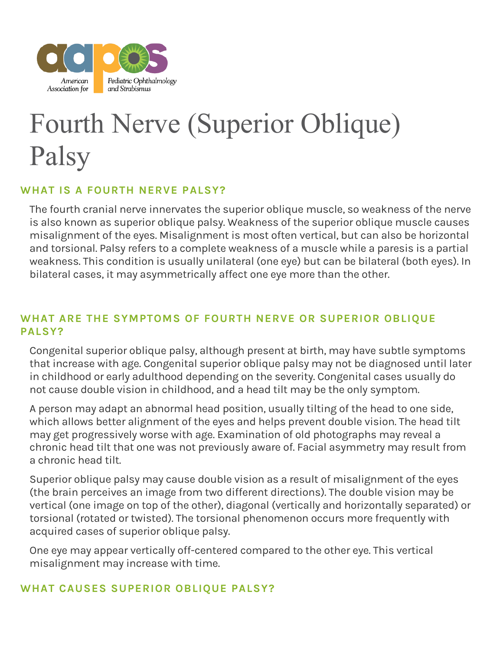

# Fourth Nerve (Superior Oblique) Palsy

### **WHAT IS A FOURTH NERVE PALSY?**

The fourth cranial nerve innervates the superior oblique muscle, so weakness of the nerve is also known as superior oblique palsy. Weakness of the superior oblique muscle causes misalignment of the eyes. Misalignment is most often vertical, but can also be horizontal and torsional. Palsy refers to a complete weakness of a muscle while a paresis is a partial weakness. This condition is usually unilateral (one eye) but can be bilateral (both eyes). In bilateral cases, it may asymmetrically affect one eye more than the other.

## **WHAT ARE THE SYMPTOMS OF FOURTH NERVE OR SUPERIOR OBLIQUE PALSY?**

Congenital superior oblique palsy, although present at birth, may have subtle symptoms that increase with age. Congenital superior oblique palsy may not be diagnosed until later in childhood or early adulthood depending on the severity. Congenital cases usually do not cause double vision in childhood, and a head tilt may be the only symptom.

A person may adapt an abnormal head position, usually tilting of the head to one side, which allows better alignment of the eyes and helps prevent double vision. The head tilt may get progressively worse with age. Examination of old photographs may reveal a chronic head tilt that one was not previously aware of. Facial asymmetry may result from a chronic head tilt.

Superior oblique palsy may cause double vision as a result of misalignment of the eyes (the brain perceives an image from two different directions). The double vision may be vertical (one image on top of the other), diagonal (vertically and horizontally separated) or torsional (rotated or twisted). The torsional phenomenon occurs more frequently with acquired cases of superior oblique palsy.

One eye may appear vertically off-centered compared to the other eye. This vertical misalignment may increase with time.

#### **WHAT CAUSES SUPERIOR OBLIQUE PALSY?**